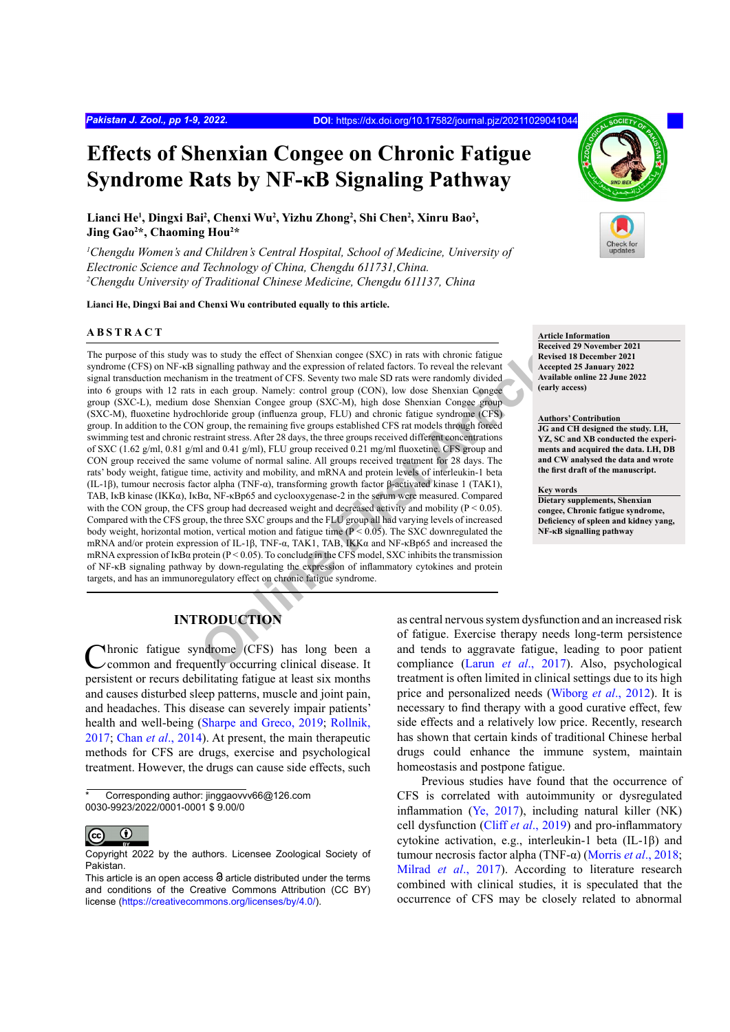# **Effects of Shenxian Congee on Chronic Fatigue Syndrome Rats by NF-κB Signaling Pathway**

**Lianci He1 , Dingxi Bai<sup>2</sup> , Chenxi Wu2 , Yizhu Zhong2 , Shi Chen2 , Xinru Bao<sup>2</sup> , Jing Gao2 \*, Chaoming Hou2 \***

<sup>1</sup>Chengdu Women's and Children's Central Hospital, School of Medicine, University of *Electronic Science and Technology of China, Chengdu 611731,China. 2 Chengdu University of Traditional Chinese Medicine, Chengdu 611137, China*

**Lianci He, Dingxi Bai and Chenxi Wu contributed equally to this article.**

#### **ABSTRACT**

as to study the effect of Shenxian congee (SXC) in rats with chronic fatigue<br>
ignalling pathway and the expression of related actors. To reveal the relevant<br>
im in the tradiment of CFS. Seventy two male SD rats were random The purpose of this study was to study the effect of Shenxian congee (SXC) in rats with chronic fatigue syndrome (CFS) on NF-κB signalling pathway and the expression of related factors. To reveal the relevant signal transduction mechanism in the treatment of CFS. Seventy two male SD rats were randomly divided into 6 groups with 12 rats in each group. Namely: control group (CON), low dose Shenxian Congee group (SXC-L), medium dose Shenxian Congee group (SXC-M), high dose Shenxian Congee group (SXC-M), fluoxetine hydrochloride group (influenza group, FLU) and chronic fatigue syndrome (CFS) group. In addition to the CON group, the remaining five groups established CFS rat models through forced swimming test and chronic restraint stress. After 28 days, the three groups received different concentrations of SXC (1.62 g/ml, 0.81 g/ml and 0.41 g/ml), FLU group received 0.21 mg/ml fluoxetine. CFS group and CON group received the same volume of normal saline. All groups received treatment for 28 days. The rats' body weight, fatigue time, activity and mobility, and mRNA and protein levels of interleukin-1 beta (IL-1β), tumour necrosis factor alpha (TNF-α), transforming growth factor β-activated kinase 1 (TAK1), TAB, IκB kinase (IKKα), IκBα, NF-κBp65 and cyclooxygenase-2 in the serum were measured. Compared with the CON group, the CFS group had decreased weight and decreased activity and mobility ( $P < 0.05$ ). Compared with the CFS group, the three SXC groups and the FLU group all had varying levels of increased body weight, horizontal motion, vertical motion and fatigue time  $(P < 0.05)$ . The SXC downregulated the mRNA and/or protein expression of IL-1β, TNF-α, TAK1, TAB, IKKα and NF-κBp65 and increased the mRNA expression of IkB $\alpha$  protein (P < 0.05). To conclude in the CFS model, SXC inhibits the transmission of NF-κB signaling pathway by down-regulating the expression of inflammatory cytokines and protein targets, and has an immunoregulatory effect on chronic fatigue syndrome.

#### **Article Information**

**Received 29 November 2021 Revised 18 December 2021 Accepted 25 January 2022 Available online 22 June 2022 (early access)**

#### **Authors' Contribution**

**JG and CH designed the study. LH, YZ, SC and XB conducted the experiments and acquired the data. LH, DB and CW analysed the data and wrote the first draft of the manuscript.** 

#### **Key words**

**Dietary supplements, Shenxian congee, Chronic fatigue syndrome, Deficiency of spleen and kidney yang, NF-κB signalling pathway**

# **INTRODUCTION**

Chronic fatigue syndrome (CFS) has long been a common and frequently occurring clinical disease. It persistent or recurs debilitating fatigue at least six months and causes disturbed sleep patterns, muscle and joint pain, and headaches. This disease can severely impair patients' health and well-being ([Sharpe and Greco, 2019](#page-7-0); [Rollnik,](#page-7-1) [2017](#page-7-1); Chan *et al*[., 2014\)](#page-6-0). At present, the main therapeutic methods for CFS are drugs, exercise and psychological treatment. However, the drugs can cause side effects, such

Corresponding author: jinggaovvv66@126.com 0030-9923/2022/0001-0001 \$ 9.00/0



Copyright 2022 by the authors. Licensee Zoological Society of Pakistan.

as central nervous system dysfunction and an increased risk of fatigue. Exercise therapy needs long-term persistence and tends to aggravate fatigue, leading to poor patient compliance (Larun *et al*., 2017). Also, psychological treatment is often limited in clinical settings due to its high price and personalized needs ([Wiborg](#page-8-0) *et al*., 2012). It is necessary to find therapy with a good curative effect, few side effects and a relatively low price. Recently, research has shown that certain kinds of traditional Chinese herbal drugs could enhance the immune system, maintain homeostasis and postpone fatigue.

Previous studies have found that the occurrence of CFS is correlated with autoimmunity or dysregulated inflammation [\(Ye, 2017](#page-8-1)), including natural killer (NK) cell dysfunction (Cliff *et al*., 2019) and pro-inflammatory cytokine activation, e.g., interleukin-1 beta (IL-1β) and tumour necrosis factor alpha (TNF-α) (Morris *et al*., 2018; Milrad *et al*[., 2017\)](#page-7-3). According to literature research combined with clinical studies, it is speculated that the occurrence of CFS may be closely related to abnormal

This article is an open access  $\Theta$  article distributed under the terms and conditions of the Creative Commons Attribution (CC BY) license (<https://creativecommons.org/licenses/by/4.0/>).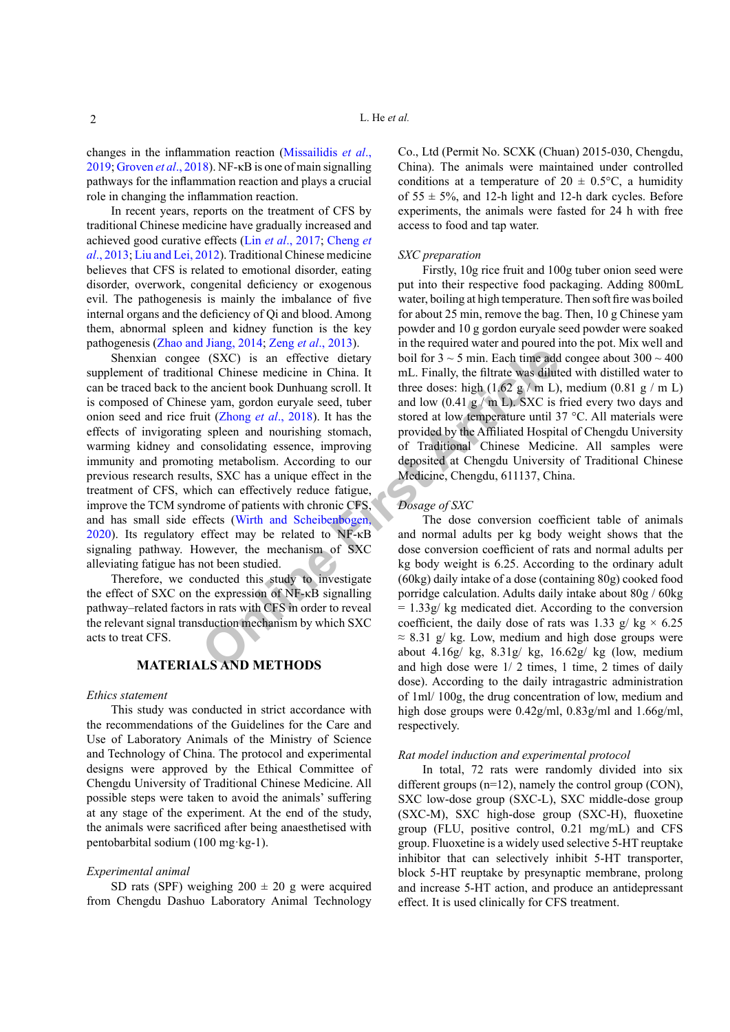changes in the inflammation reaction [\(Missailidis](#page-7-4) *et al*., [2019](#page-7-4); [Groven](#page-7-5) *et al*., 2018). NF-κB is one of main signalling pathways for the inflammation reaction and plays a crucial role in changing the inflammation reaction.

In recent years, reports on the treatment of CFS by traditional Chinese medicine have gradually increased and achieved good curative effects (Lin *et al*[., 2017](#page-7-6); [Cheng](#page-6-1) *et al*[., 2013](#page-6-1); [Liu and Lei, 2012](#page-7-7)). Traditional Chinese medicine believes that CFS is related to emotional disorder, eating disorder, overwork, congenital deficiency or exogenous evil. The pathogenesis is mainly the imbalance of five internal organs and the deficiency of Qi and blood. Among them, abnormal spleen and kidney function is the key pathogenesis ([Zhao and Jiang, 2014](#page-8-2); Zeng *et al*., 2013).

**Example 19 Example 10 Example 10 Example 10 Example 10 Example 10 Example 10 Example 10 Example 10 Example 10 Example 10 Example 10 Example 10 Example 10 Example 10 Example 10 Example 10** Shenxian congee (SXC) is an effective dietary supplement of traditional Chinese medicine in China. It can be traced back to the ancient book Dunhuang scroll. It is composed of Chinese yam, gordon euryale seed, tuber onion seed and rice fruit (Zhong *et al*., 2018). It has the effects of invigorating spleen and nourishing stomach, warming kidney and consolidating essence, improving immunity and promoting metabolism. According to our previous research results, SXC has a unique effect in the treatment of CFS, which can effectively reduce fatigue, improve the TCM syndrome of patients with chronic CFS, and has small side effects (Wirth and Scheibenbogen, [2020\)](#page-8-5). Its regulatory effect may be related to NF-κB signaling pathway. However, the mechanism of SXC alleviating fatigue has not been studied.

Therefore, we conducted this study to investigate the effect of SXC on the expression of NF-κB signalling pathway–related factors in rats with CFS in order to reveal the relevant signal transduction mechanism by which SXC acts to treat CFS.

# **MATERIALS AND METHODS**

#### *Ethics statement*

This study was conducted in strict accordance with the recommendations of the Guidelines for the Care and Use of Laboratory Animals of the Ministry of Science and Technology of China. The protocol and experimental designs were approved by the Ethical Committee of Chengdu University of Traditional Chinese Medicine. All possible steps were taken to avoid the animals' suffering at any stage of the experiment. At the end of the study, the animals were sacrificed after being anaesthetised with pentobarbital sodium (100 mg·kg-1).

#### *Experimental animal*

SD rats (SPF) weighing  $200 \pm 20$  g were acquired from Chengdu Dashuo Laboratory Animal Technology

Co., Ltd (Permit No. SCXK (Chuan) 2015-030, Chengdu, China). The animals were maintained under controlled conditions at a temperature of  $20 \pm 0.5$ °C, a humidity of  $55 \pm 5\%$ , and 12-h light and 12-h dark cycles. Before experiments, the animals were fasted for 24 h with free access to food and tap water.

#### *SXC preparation*

Firstly, 10g rice fruit and 100g tuber onion seed were put into their respective food packaging. Adding 800mL water, boiling at high temperature. Then soft fire was boiled for about 25 min, remove the bag. Then, 10 g Chinese yam powder and 10 g gordon euryale seed powder were soaked in the required water and poured into the pot. Mix well and boil for  $3 \sim 5$  min. Each time add congee about  $300 \sim 400$ mL. Finally, the filtrate was diluted with distilled water to three doses: high  $(1.62 \text{ g} / \text{m L})$ , medium  $(0.81 \text{ g} / \text{m L})$ and low  $(0.41 \text{ g} / \text{m L})$ . SXC is fried every two days and stored at low temperature until 37 °C. All materials were provided by the Affiliated Hospital of Chengdu University of Traditional Chinese Medicine. All samples were deposited at Chengdu University of Traditional Chinese Medicine, Chengdu, 611137, China.

#### *Dosage of SXC*

The dose conversion coefficient table of animals and normal adults per kg body weight shows that the dose conversion coefficient of rats and normal adults per kg body weight is 6.25. According to the ordinary adult (60kg) daily intake of a dose (containing 80g) cooked food porridge calculation. Adults daily intake about 80g / 60kg = 1.33g/ kg medicated diet. According to the conversion coefficient, the daily dose of rats was 1.33 g/ kg  $\times$  6.25  $\approx$  8.31 g/ kg. Low, medium and high dose groups were about 4.16g/ kg, 8.31g/ kg, 16.62g/ kg (low, medium and high dose were 1/ 2 times, 1 time, 2 times of daily dose). According to the daily intragastric administration of 1ml/ 100g, the drug concentration of low, medium and high dose groups were 0.42g/ml, 0.83g/ml and 1.66g/ml, respectively.

#### *Rat model induction and experimental protocol*

In total, 72 rats were randomly divided into six different groups (n=12), namely the control group (CON), SXC low-dose group (SXC-L), SXC middle-dose group (SXC-M), SXC high-dose group (SXC-H), fluoxetine group (FLU, positive control, 0.21 mg/mL) and CFS group. Fluoxetine is a widely used selective 5-HT reuptake inhibitor that can selectively inhibit 5-HT transporter, block 5-HT reuptake by presynaptic membrane, prolong and increase 5-HT action, and produce an antidepressant effect. It is used clinically for CFS treatment.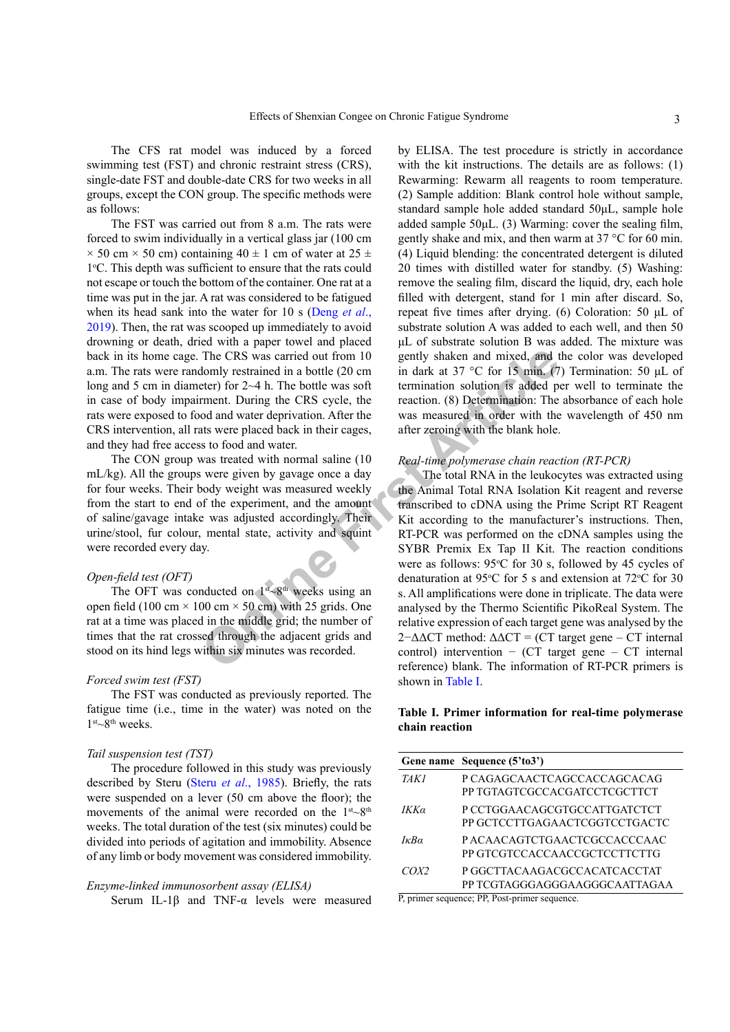The CFS rat model was induced by a forced swimming test (FST) and chronic restraint stress (CRS), single-date FST and double-date CRS for two weeks in all groups, except the CON group. The specific methods were as follows:

The FST was carried out from 8 a.m. The rats were forced to swim individually in a vertical glass jar (100 cm  $\times$  50 cm  $\times$  50 cm) containing 40  $\pm$  1 cm of water at 25  $\pm$ 1o C. This depth was sufficient to ensure that the rats could not escape or touch the bottom of the container. One rat at a time was put in the jar. A rat was considered to be fatigued when its head sank into the water for 10 s [\(Deng](#page-7-8) *et al*., [2019\)](#page-7-8). Then, the rat was scooped up immediately to avoid drowning or death, dried with a paper towel and placed back in its home cage. The CRS was carried out from 10 a.m. The rats were randomly restrained in a bottle (20 cm long and 5 cm in diameter) for 2~4 h. The bottle was soft in case of body impairment. During the CRS cycle, the rats were exposed to food and water deprivation. After the CRS intervention, all rats were placed back in their cages, and they had free access to food and water.

The CON group was treated with normal saline (10 mL/kg). All the groups were given by gavage once a day for four weeks. Their body weight was measured weekly from the start to end of the experiment, and the amount of saline/gavage intake was adjusted accordingly. Their urine/stool, fur colour, mental state, activity and squint were recorded every day.

#### *Open-field test (OFT)*

The OFT was conducted on  $1<sup>st</sup>$ -8<sup>th</sup> weeks using an open field (100 cm  $\times$  100 cm  $\times$  50 cm) with 25 grids. One rat at a time was placed in the middle grid; the number of times that the rat crossed through the adjacent grids and stood on its hind legs within six minutes was recorded.

### *Forced swim test (FST)*

The FST was conducted as previously reported. The fatigue time (i.e., time in the water) was noted on the  $1<sup>st</sup>~8<sup>th</sup>$  weeks.

### *Tail suspension test (TST)*

The procedure followed in this study was previously described by Steru (Steru *et al*[., 1985\)](#page-8-6). Briefly, the rats were suspended on a lever (50 cm above the floor); the movements of the animal were recorded on the  $1<sup>st</sup>~8<sup>th</sup>$ weeks. The total duration of the test (six minutes) could be divided into periods of agitation and immobility. Absence of any limb or body movement was considered immobility.

#### *Enzyme-linked immunosorbent assay (ELISA)*

Serum IL-1 $\beta$  and TNF- $\alpha$  levels were measured

by ELISA. The test procedure is strictly in accordance with the kit instructions. The details are as follows: (1) Rewarming: Rewarm all reagents to room temperature. (2) Sample addition: Blank control hole without sample, standard sample hole added standard 50μL, sample hole added sample 50μL. (3) Warming: cover the sealing film, gently shake and mix, and then warm at 37 °C for 60 min. (4) Liquid blending: the concentrated detergent is diluted 20 times with distilled water for standby. (5) Washing: remove the sealing film, discard the liquid, dry, each hole filled with detergent, stand for 1 min after discard. So, repeat five times after drying. (6) Coloration: 50 μL of substrate solution A was added to each well, and then 50 μL of substrate solution B was added. The mixture was gently shaken and mixed, and the color was developed in dark at 37 °C for 15 min. (7) Termination: 50 μL of termination solution is added per well to terminate the reaction. (8) Determination: The absorbance of each hole was measured in order with the wavelength of 450 nm after zeroing with the blank hole.

#### *Real-time polymerase chain reaction (RT-PCR)*

The CRS was carried out from 10<br>
gently shaken and mixed, and the domly restrained in a bottle (20 cm<br>
in dark at 37 °C for 15 min. (7<br>
terer) for 2-4 h. The bottle was soft<br>
termination solution is added percent During t The total RNA in the leukocytes was extracted using the Animal Total RNA Isolation Kit reagent and reverse transcribed to cDNA using the Prime Script RT Reagent Kit according to the manufacturer's instructions. Then, RT-PCR was performed on the cDNA samples using the SYBR Premix Ex Tap II Kit. The reaction conditions were as follows:  $95^{\circ}$ C for 30 s, followed by 45 cycles of denaturation at 95 $\degree$ C for 5 s and extension at 72 $\degree$ C for 30 s. All amplifications were done in triplicate. The data were analysed by the Thermo Scientific PikoReal System. The relative expression of each target gene was analysed by the  $2-\Delta\Delta CT$  method:  $\Delta\Delta CT$  = (CT target gene – CT internal control) intervention − (CT target gene – CT internal reference) blank. The information of RT-PCR primers is shown in [Table I](#page-2-0).

# <span id="page-2-0"></span>**Table I. Primer information for real-time polymerase chain reaction**

|                     | Gene name Sequence (5'to3')                                                                                                                                                                                                                                                                                                                                       |
|---------------------|-------------------------------------------------------------------------------------------------------------------------------------------------------------------------------------------------------------------------------------------------------------------------------------------------------------------------------------------------------------------|
| TAK1                | P CAGAGCAACTCAGCCACCAGCACAG<br>PP TGTAGTCGCCACGATCCTCGCTTCT                                                                                                                                                                                                                                                                                                       |
| IΚKα                | P CCTGGAACAGCGTGCCATTGATCTCT<br>PP GCTCCTTGAGAACTCGGTCCTGACTC                                                                                                                                                                                                                                                                                                     |
| $I\kappa Ba$        | P ACAACAGTCTGAACTCGCCACCCAAC<br>PP GTCGTCCACCAACCGCTCCTTCTTG                                                                                                                                                                                                                                                                                                      |
| COX2<br>$n$ $\cdot$ | P GGCTTACAAGACGCCACATCACCTAT<br>PP TCGTAGGGAGGGAAGGGCAATTAGAA<br>$\mathbf{p}$ and $\mathbf{p}$ and $\mathbf{p}$ and $\mathbf{p}$ and $\mathbf{p}$ and $\mathbf{p}$ and $\mathbf{p}$ and $\mathbf{p}$ and $\mathbf{p}$ and $\mathbf{p}$ and $\mathbf{p}$ and $\mathbf{p}$ and $\mathbf{p}$ and $\mathbf{p}$ and $\mathbf{p}$ and $\mathbf{p}$ and $\mathbf{p}$ and |

P, primer sequence; PP, Post-primer sequence.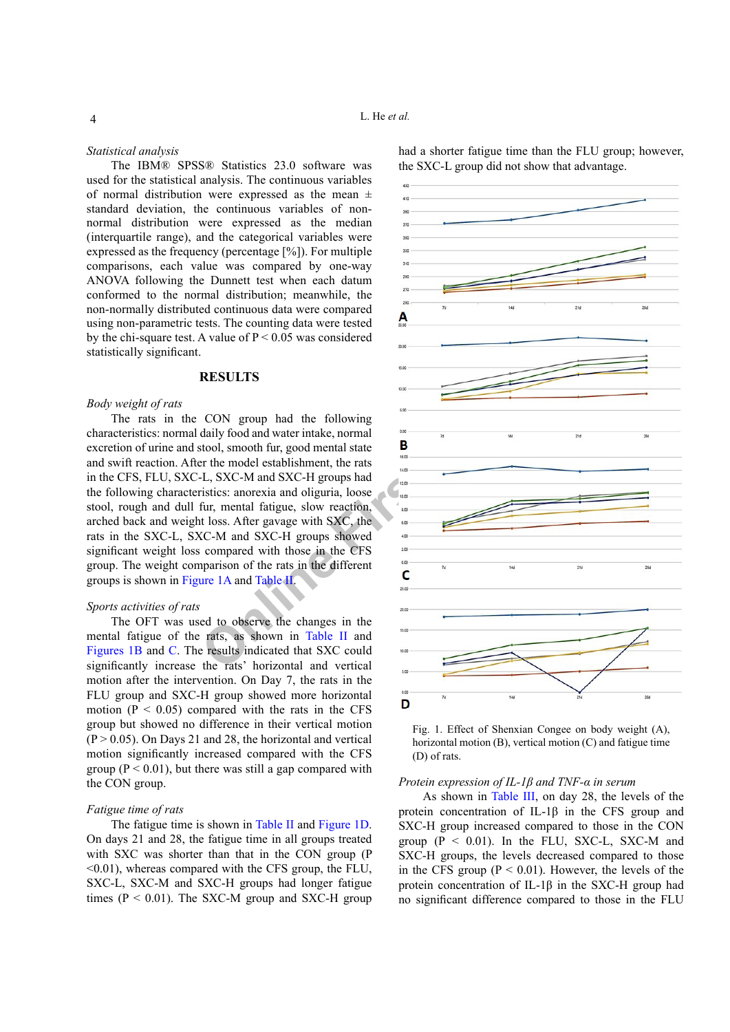#### *Statistical analysis*

The IBM® SPSS® Statistics 23.0 software was used for the statistical analysis. The continuous variables of normal distribution were expressed as the mean  $\pm$ standard deviation, the continuous variables of nonnormal distribution were expressed as the median (interquartile range), and the categorical variables were expressed as the frequency (percentage [%]). For multiple comparisons, each value was compared by one-way ANOVA following the Dunnett test when each datum conformed to the normal distribution; meanwhile, the non-normally distributed continuous data were compared using non-parametric tests. The counting data were tested by the chi-square test. A value of  $P \le 0.05$  was considered statistically significant.

#### **RESULTS**

#### *Body weight of rats*

The rats in the CON group had the following characteristics: normal daily food and water intake, normal excretion of urine and stool, smooth fur, good mental state and swift reaction. After the model establishment, the rats in the CFS, FLU, SXC-L, SXC-M and SXC-H groups had the following characteristics: anorexia and oliguria, loose stool, rough and dull fur, mental fatigue, slow reaction, arched back and weight loss. After gavage with SXC, the rats in the SXC-L, SXC-M and SXC-H groups showed significant weight loss compared with those in the CFS group. The weight comparison of the rats in the different groups is shown in [Figure 1A](#page-3-0) and Table II.

#### *Sports activities of rats*

The OFT was used to observe the changes in the mental fatigue of the rats, as shown in Table II and [Figures 1](#page-3-0)B and [C](#page-3-0). The results indicated that SXC could significantly increase the rats' horizontal and vertical motion after the intervention. On Day 7, the rats in the FLU group and SXC-H group showed more horizontal motion ( $P < 0.05$ ) compared with the rats in the CFS group but showed no difference in their vertical motion  $(P > 0.05)$ . On Days 21 and 28, the horizontal and vertical motion significantly increased compared with the CFS group ( $P < 0.01$ ), but there was still a gap compared with the CON group.

#### *Fatigue time of rats*

The fatigue time is shown in [Table II](#page-4-0) and [Figure 1D](#page-3-0). On days 21 and 28, the fatigue time in all groups treated with SXC was shorter than that in the CON group (P <0.01), whereas compared with the CFS group, the FLU, SXC-L, SXC-M and SXC-H groups had longer fatigue times ( $P < 0.01$ ). The SXC-M group and SXC-H group had a shorter fatigue time than the FLU group; however, the SXC-L group did not show that advantage.



<span id="page-3-0"></span>Fig. 1. Effect of Shenxian Congee on body weight (A), horizontal motion (B), vertical motion (C) and fatigue time (D) of rats.

# *Protein expression of IL-1β and TNF-α in serum*

As shown in [Table III,](#page-5-0) on day 28, the levels of the protein concentration of IL-1β in the CFS group and SXC-H group increased compared to those in the CON group  $(P < 0.01)$ . In the FLU, SXC-L, SXC-M and SXC-H groups, the levels decreased compared to those in the CFS group  $(P \le 0.01)$ . However, the levels of the protein concentration of IL-1β in the SXC-H group had no significant difference compared to those in the FLU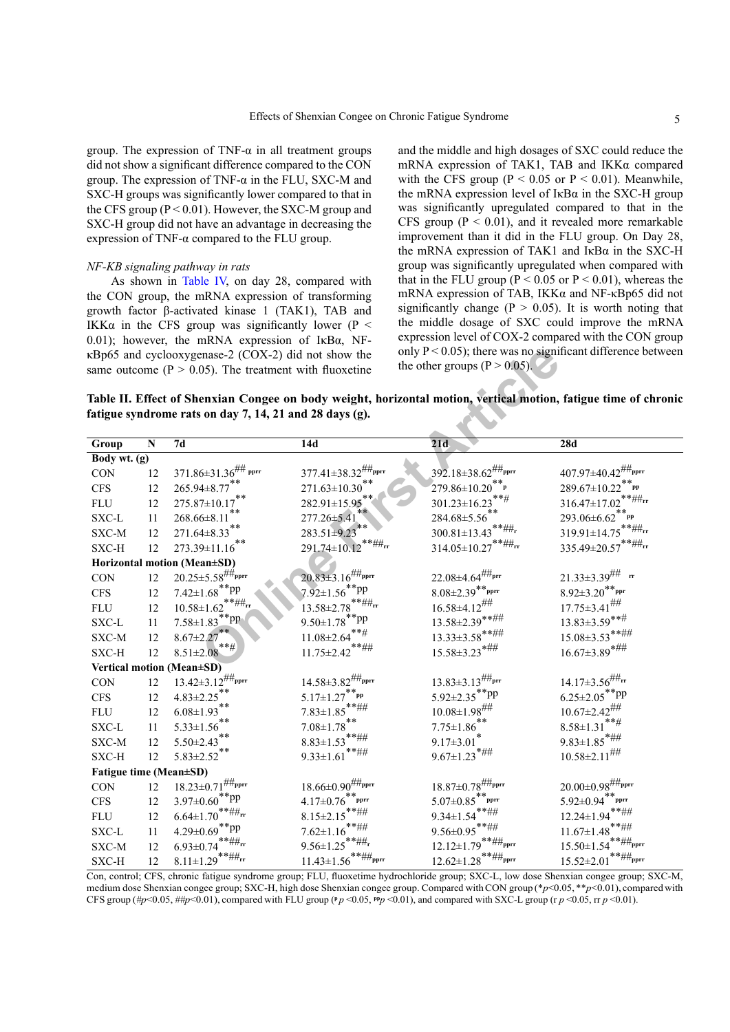group. The expression of TNF- $\alpha$  in all treatment groups did not show a significant difference compared to the CON group. The expression of TNF- $\alpha$  in the FLU, SXC-M and SXC-H groups was significantly lower compared to that in the CFS group ( $P < 0.01$ ). However, the SXC-M group and SXC-H group did not have an advantage in decreasing the expression of TNF-α compared to the FLU group.

#### *NF-KB signaling pathway in rats*

As shown in [Table IV](#page-5-1), on day 28, compared with the CON group, the mRNA expression of transforming growth factor β-activated kinase 1 (TAK1), TAB and IKKα in the CFS group was significantly lower ( $P <$ 0.01); however, the mRNA expression of IκBα, NFκBp65 and cyclooxygenase-2 (COX-2) did not show the same outcome ( $P > 0.05$ ). The treatment with fluoxetine

and the middle and high dosages of SXC could reduce the mRNA expression of TAK1, TAB and IKKα compared with the CFS group ( $P < 0.05$  or  $P < 0.01$ ). Meanwhile, the mRNA expression level of  $I \kappa B\alpha$  in the SXC-H group was significantly upregulated compared to that in the CFS group  $(P < 0.01)$ , and it revealed more remarkable improvement than it did in the FLU group. On Day 28, the mRNA expression of TAK1 and  $I \kappa B\alpha$  in the SXC-H group was significantly upregulated when compared with that in the FLU group ( $P < 0.05$  or  $P < 0.01$ ), whereas the mRNA expression of TAB, IKKα and NF-κBp65 did not significantly change ( $P > 0.05$ ). It is worth noting that the middle dosage of SXC could improve the mRNA expression level of COX-2 compared with the CON group only  $P < 0.05$ ); there was no significant difference between the other groups  $(P > 0.05)$ .

<span id="page-4-0"></span>**Table II. Effect of Shenxian Congee on body weight, horizontal motion, vertical motion, fatigue time of chronic fatigue syndrome rats on day 7, 14, 21 and 28 days (g).**

|                               |           | κBp65 and cyclooxygenase-2 (COX-2) did not show the        |                                           | the other groups $(P > 0.05)$ .             | only $P < 0.05$ ); there was no significant difference between                                                  |
|-------------------------------|-----------|------------------------------------------------------------|-------------------------------------------|---------------------------------------------|-----------------------------------------------------------------------------------------------------------------|
|                               |           | same outcome ( $P > 0.05$ ). The treatment with fluoxetine |                                           |                                             |                                                                                                                 |
|                               |           |                                                            |                                           |                                             | Table II. Effect of Shenxian Congee on body weight, horizontal motion, vertical motion, fatigue time of chronic |
|                               |           | fatigue syndrome rats on day 7, 14, 21 and 28 days (g).    |                                           |                                             |                                                                                                                 |
|                               |           |                                                            |                                           |                                             |                                                                                                                 |
| Group                         | ${\bf N}$ | 7d                                                         | 14d                                       | $\overline{21d}$                            | 28d                                                                                                             |
| Body wt. (g)                  |           |                                                            |                                           |                                             |                                                                                                                 |
| CON                           | 12        | $371.86 \pm 31.36$ <sup>##</sup> pprr                      | $377.41 \pm 38.32^{ \# \#_{\text{pprr}}}$ | $392.18 \pm 38.62$ ##pprr                   | $407.97 \pm 40.42$ <sup>##</sup> pprr                                                                           |
| ${\rm CFS}$                   | 12        | $265.94 \pm 8.77$ **                                       | $**$<br>271.63±10.30                      | $279.86 \pm 10.20$                          | 289.67±10.22<br>pp                                                                                              |
| ${\rm FLU}$                   | 12        | $* *$<br>275.87±10.17                                      | 282.91±15.95                              | **#<br>301.23±16.23                         | 316.47±17.02                                                                                                    |
| $\ensuremath{\mathsf{SXC-L}}$ | $11\,$    | $* *$<br>268.66±8.11                                       | $**$<br>277.26±5.41                       | $284.68 \pm 5.56$ **                        | $293.06{\pm}6.62^{**}{\rm pp}$                                                                                  |
| SXC-M                         | 12        | $271.64 \pm 8.33$ <sup>**</sup>                            | $283.51 \pm 9.23$ **                      | $300.81 \pm 13.43$                          | $319.91 \pm 14.75$                                                                                              |
| SXC-H                         | 12        | $**$<br>273.39±11.16                                       | .**## <sub>rr</sub><br>291.74±10.12       | $314.05 \pm 10.27$ **##rr                   | $335.49 {\pm} 20.57^{** \# \#_{rr}}$                                                                            |
|                               |           | Horizontal motion (Mean±SD)                                |                                           |                                             |                                                                                                                 |
| CON                           | 12        | $20.25 \pm 5.58$ ##pprr                                    | $20.83\pm3.16^{ \# \#_{\text{pprr}}}$     | $22.08 \pm 4.64^{\text{\#}\#_{\text{prr}}}$ | $21.33\pm3.39$ ## rr                                                                                            |
| ${\rm CFS}$                   | 12        | $7.42 \pm 1.68$ <sup>**</sup> pp                           | $7.92 \pm 1.56$ **pp                      | $8.08{\pm}2.39^{**}$ pprr                   | $8.92 \pm 3.20$ <sup>**</sup> PPr                                                                               |
| ${\rm FLU}$                   | 12        | $10.58 \pm 1.62$ <sup>**##</sup> rr                        | $13.58 \pm 2.78$ <sup>**##</sup> rr       | $16.58 \pm 4.12$ ##                         | $17.75 \pm 3.41$ <sup>##</sup>                                                                                  |
| SXC-L                         | 11        | $7.58 \pm 1.83$ <sup>**</sup> pp                           | $9.50 \pm 1.78$ <sup>**</sup> PP          | $13.58 \pm 2.39$ **##                       | $13.83 \pm 3.59$ **#                                                                                            |
| SXC-M                         | 12        | $8.67 \pm 2.27$ **                                         | $11.08 {\pm} 2.64^{***\#}$                | $13.33\pm3.58$ **##                         | $15.08 \pm 3.53$ **##                                                                                           |
| SXC-H                         | 12        | $***$ #<br>$8.51 \pm 2.08$                                 | $11.75 \pm 2.42$ **##                     | $15.58 \pm 3.23$ *##                        | $16.67 \pm 3.89$ *##                                                                                            |
|                               |           | Vertical motion (Mean±SD)                                  |                                           |                                             |                                                                                                                 |
| $\rm CON$                     | 12        | $13.42 \pm 3.12^{ \text{\#}\#_{\text{pprr}}}$              | $14.58 \pm 3.82^{ \# \#_{\rm pprr}}$      | $13.83 \pm 3.13$ ##prr                      | $14.17{\pm}3.56^{\text{\#}\#_{\text{\rm{rr}}}}$                                                                 |
| ${\rm CFS}$                   | 12        | $4.83 \pm 2.25$ **                                         | $5.17 \pm 1.27$<br>$\mathbf{p}$           | $5.92 \pm 2.35$ **pp                        | $6.25 \pm 2.05$ **pp                                                                                            |
| ${\rm FLU}$                   | 12        | $* *$<br>$6.08 \pm 1.93$                                   | $7.83 \pm 1.85$                           | $10.08 \pm 1.98$ <sup>##</sup>              | $10.67 \pm 2.42$ <sup>##</sup>                                                                                  |
| SXC-L                         | 11        | $* *$<br>$5.33 \pm 1.56$                                   | $* *$<br>$7.08 \pm 1.78$                  | $7.75 \pm 1.86$                             | $***$ #<br>$8.58 \pm 1.31$                                                                                      |
| SXC-M                         | 12        | **<br>$5.50 \pm 2.43$                                      | $***\#$ #<br>$8.83 \pm 1.53$              | $9.17 \pm 3.01$                             | $9.83{\pm}1.85^{*}\!\!\!\!^{\sharp\sharp\sharp\sharp}$                                                          |
| SXC-H                         | 12        | $***$<br>$5.83 \pm 2.52$                                   | $***\#$ #<br>$9.33 \pm 1.61$              | $9.67 \pm 1.23$ *##                         | $10.58 \pm 2.11$ ##                                                                                             |
| Fatigue time (Mean±SD)        |           |                                                            |                                           |                                             |                                                                                                                 |
| CON                           | 12        | $18.23 \pm 0.71^{ \# \#_{\text{pprr}}}$                    | $18.66 \pm 0.90^{ \# \#_{\text{pprr}}}$   | $18.87 \pm 0.78$ <sup>###pprr</sup>         | $20.00 {\pm} 0.98^{\text{\#}\text{\#}}$ pprr                                                                    |
| ${\rm CFS}$                   | 12        | $3.97 \pm 0.60$ <sup>**pp</sup>                            | $4.17{\pm}0.76^{**}$ pprr                 | $5.07 {\pm} 0.85^{**}$ pprr                 | $5.92 {\pm} 0.94^{**}$ pprr                                                                                     |
| ${\rm FLU}$                   | 12        | $6.64 {\pm} 1.70 ^{*** \# \#}_{\rm rr}$                    | $8.15 \pm 2.15$ **##                      | $9.34 \pm 1.54$ **##                        | $***\#$ #<br>$12.24 \pm 1.94$                                                                                   |
| SXC-L                         | 11        | $4.29 \pm 0.69$ <sup>**</sup> PP                           | $7.62 \pm 1.16$ **##                      | $9.56 \!\!\pm\!\! 0.95$ ******              | $11.67 {\pm} 1.48^{** \# \#}$                                                                                   |
| SXC-M                         | 12        | $6.93 \pm 0.74$ <sup>**##</sup> rr                         | $9.56 \pm 1.25$ <sup>**##</sup> r         | $12.12{\pm}1.79$ **##pprr                   | .**## <sub>pprr</sub><br>15.50±1.54                                                                             |
| SXC-H                         | 12        | $8.11 \pm 1.29$ <sup>**##</sup> rr                         | $\frac{11.43 \pm 1.56}{1}$ **##pprr       | $12.62 \pm 1.28$ **##pprr                   | $\ast\ast\#_{\text{pprr}}$<br>$15.52 \pm 2.01$                                                                  |

Con, control; CFS, chronic fatigue syndrome group; FLU, fluoxetime hydrochloride group; SXC-L, low dose Shenxian congee group; SXC-M, medium dose Shenxian congee group; SXC-H, high dose Shenxian congee group. Compared with CON group (\**p*<0.05, \*\**p*<0.01), compared with CFS group ( $\#p$ <0.05,  $\#tp$ <0.01), compared with FLU group ( $^p p$  <0.05,  $^{p} p$  <0.01), and compared with SXC-L group (r  $p$  <0.05, rr  $p$  <0.01).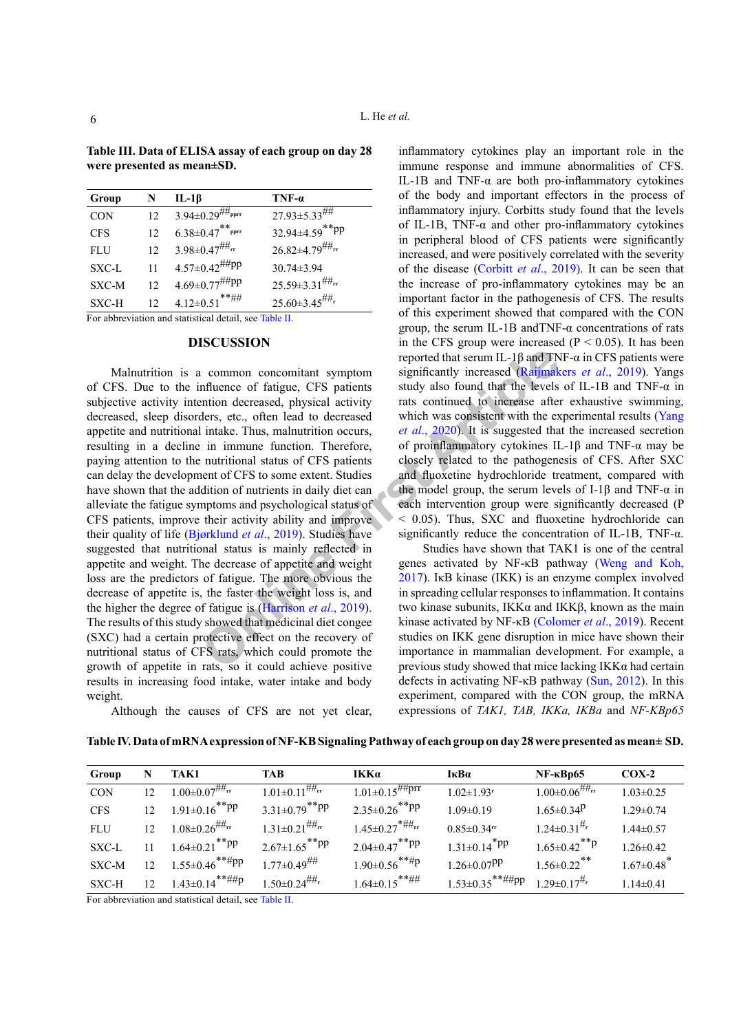| Group                                                  | N                 | $IL-1\beta$                            | $TNF-\alpha$                      |  |
|--------------------------------------------------------|-------------------|----------------------------------------|-----------------------------------|--|
| <b>CON</b>                                             | 12                | $3.94 \pm 0.29^{ \# \#_{\text{pprr}}}$ | $27.93 \pm 5.33$ ##               |  |
| <b>CFS</b>                                             | 12                | $6.38 {\pm} 0.47^{**}$ pprr            | 32.94±4.59**pp                    |  |
| <b>FLU</b>                                             | 12                | $3.98 \pm 0.47$ <sup>##</sup> rr       | $26.82 \pm 4.79^{\text{#H}_{rr}}$ |  |
| SXC-L                                                  | 11                | $4.57 \pm 0.42$ <sup>##pp</sup>        | $30.74 \pm 3.94$                  |  |
| SXC-M                                                  | 12                | $4.69 \pm 0.77$ <sup>##pp</sup>        | $25.59 \pm 3.31$ <sup>##</sup> rr |  |
| SXC-H                                                  | $12 \overline{)}$ | $4.12 \pm 0.51$ **##                   | $25.60 \pm 3.45$ <sup>##</sup> r  |  |
| For abbreviation and statistical detail, see Table II. |                   |                                        |                                   |  |

<span id="page-5-0"></span>**Table III. Data of ELISA assay of each group on day 28 were presented as mean±SD.**

#### **DISCUSSION**

reported that serum IL-1 $\beta$  and TN<br>
nommon concomitant symptom<br>
influence of fatigue, CFS patients<br>
study also found that the levels<br>
ention decreased, physical activity<br>
rats continued to the reasse after<br>
in immune fun Malnutrition is a common concomitant symptom of CFS. Due to the influence of fatigue, CFS patients subjective activity intention decreased, physical activity decreased, sleep disorders, etc., often lead to decreased appetite and nutritional intake. Thus, malnutrition occurs, resulting in a decline in immune function. Therefore, paying attention to the nutritional status of CFS patients can delay the development of CFS to some extent. Studies have shown that the addition of nutrients in daily diet can alleviate the fatigue symptoms and psychological status of CFS patients, improve their activity ability and improve their quality of life (Bjørklund *et al*., 2019). Studies have suggested that nutritional status is mainly reflected in appetite and weight. The decrease of appetite and weight loss are the predictors of fatigue. The more obvious the decrease of appetite is, the faster the weight loss is, and the higher the degree of fatigue is (Harrison *et al*., 2019). The results of this study showed that medicinal diet congee (SXC) had a certain protective effect on the recovery of nutritional status of CFS rats, which could promote the growth of appetite in rats, so it could achieve positive results in increasing food intake, water intake and body weight.

Although the causes of CFS are not yet clear,

inflammatory cytokines play an important role in the immune response and immune abnormalities of CFS. IL-1B and TNF-α are both pro-inflammatory cytokines of the body and important effectors in the process of inflammatory injury. Corbitts study found that the levels of IL-1B, TNF- $\alpha$  and other pro-inflammatory cytokines in peripheral blood of CFS patients were significantly increased, and were positively correlated with the severity of the disease (Corbitt *et al*[., 2019\)](#page-7-10). It can be seen that the increase of pro-inflammatory cytokines may be an important factor in the pathogenesis of CFS. The results of this experiment showed that compared with the CON group, the serum IL-1B and TNF- $\alpha$  concentrations of rats in the CFS group were increased ( $P < 0.05$ ). It has been reported that serum IL-1β and TNF-α in CFS patients were significantly increased ([Raijmakers](#page-7-11) *et al*., 2019). Yangs study also found that the levels of IL-1B and TNF-α in rats continued to increase after exhaustive swimming, which was consistent with the experimental results (Yang *et al*., 2020). It is suggested that the increased secretion of proinflammatory cytokines IL-1β and TNF-α may be closely related to the pathogenesis of CFS. After SXC and fluoxetine hydrochloride treatment, compared with the model group, the serum levels of I-1 $\beta$  and TNF- $\alpha$  in each intervention group were significantly decreased (P < 0.05). Thus, SXC and fluoxetine hydrochloride can significantly reduce the concentration of IL-1B, TNF-α.

Studies have shown that TAK1 is one of the central genes activated by NF-κB pathway ([Weng and Koh,](#page-8-8)  2017). IκB kinase (IKK) is an enzyme complex involved in spreading cellular responses to inflammation. It contains two kinase subunits, IKK $\alpha$  and IKK $\beta$ , known as the main kinase activated by NF-κB (Colomer *et al*., 2019). Recent studies on IKK gene disruption in mice have shown their importance in mammalian development. For example, a previous study showed that mice lacking IKKα had certain defects in activating NF-κB pathway ([Sun, 2012\)](#page-8-9). In this experiment, compared with the CON group, the mRNA expressions of *TAK1, TAB, IKKa, IKBa* and *NF-KBp65*

<span id="page-5-1"></span>

| Table IV. Data of mRNA expression of NF-KB Signaling Pathway of each group on day 28 were presented as mean± SD. |  |  |  |
|------------------------------------------------------------------------------------------------------------------|--|--|--|
|                                                                                                                  |  |  |  |

| Group                         | N               | TAK1                                      | <b>TAB</b>                        | IKKa                              | ІкВа                            | $NF$ - $\kappa$ Bp $65$                | $COX-2$                      |
|-------------------------------|-----------------|-------------------------------------------|-----------------------------------|-----------------------------------|---------------------------------|----------------------------------------|------------------------------|
| <b>CON</b>                    | 12              | $1.00 \pm 0.07^{ \# \#_{\mathrm{rr}}}$    | $1.01 \pm 0.11$ <sup>###</sup> rr | $1.01 \pm 0.15$ <sup>##prr</sup>  | $1.02 \pm 1.93$ <sup>r</sup>    | $1.00 \pm 0.06^{ \# \#_{\mathbf{rr}}}$ | $1.03 \pm 0.25$              |
| <b>CFS</b>                    | 12 <sup>2</sup> | $1.91 \pm 0.16$ <sup>**</sup> PP          | $3.31 \pm 0.79$ <sup>**pp</sup>   | $2.35 \pm 0.26$ <sup>**</sup> PP  | $1.09 \pm 0.19$                 | $1.65 \pm 0.34$ <sup>p</sup>           | $1.29 \pm 0.74$              |
| <b>FLU</b>                    | 12 <sup>2</sup> | $1.08{\pm}0.26^{\text{\#}\#_{\text{rr}}}$ | $1.31 \pm 0.21^{ \# H_{rr}}$      | $1.45 \pm 0.27$ <sup>*##</sup> rr | $0.85 \pm 0.34$ rr              | $1.24 \pm 0.31$ <sup>#r</sup>          | $1.44\pm 0.57$               |
| SXC-L                         |                 | $1.64 \pm 0.21$ <sup>**pp</sup>           | $2.67 \pm 1.65$ <sup>**</sup> PP  | $2.04 \pm 0.47$ <sup>**pp</sup>   | $1.31 \pm 0.14$ <sup>*</sup> PP | $1.65 \pm 0.42$ <sup>**</sup> P        | $1.26 \pm 0.42$              |
| SXC-M                         | 12 <sup>°</sup> | $1.55 \pm 0.46$ <sup>**#pp</sup>          | $1.77 \pm 0.49^{ \# \#}$          | $1.90 \pm 0.56$ <sup>**#p</sup>   | $1.26 \pm 0.07$ PP              | $1.56 \pm 0.22$ <sup>**</sup>          | $1.67 \pm 0.48$ <sup>*</sup> |
| SXC-H                         | 12 <sup>2</sup> | $1.43 \pm 0.14$ **##p                     | $1.50 \pm 0.24$ <sup>##</sup> r   | $1.64 \pm 0.15$ **##              | $1.53 \pm 0.35$ **##pp          | $1.29 \pm 0.17$ <sup>#r</sup>          | $1.14\pm0.41$                |
| $\mathbf{r}$ and $\mathbf{r}$ |                 |                                           |                                   |                                   |                                 |                                        |                              |

For abbreviation and statistical detail, see [Table II](#page-4-0).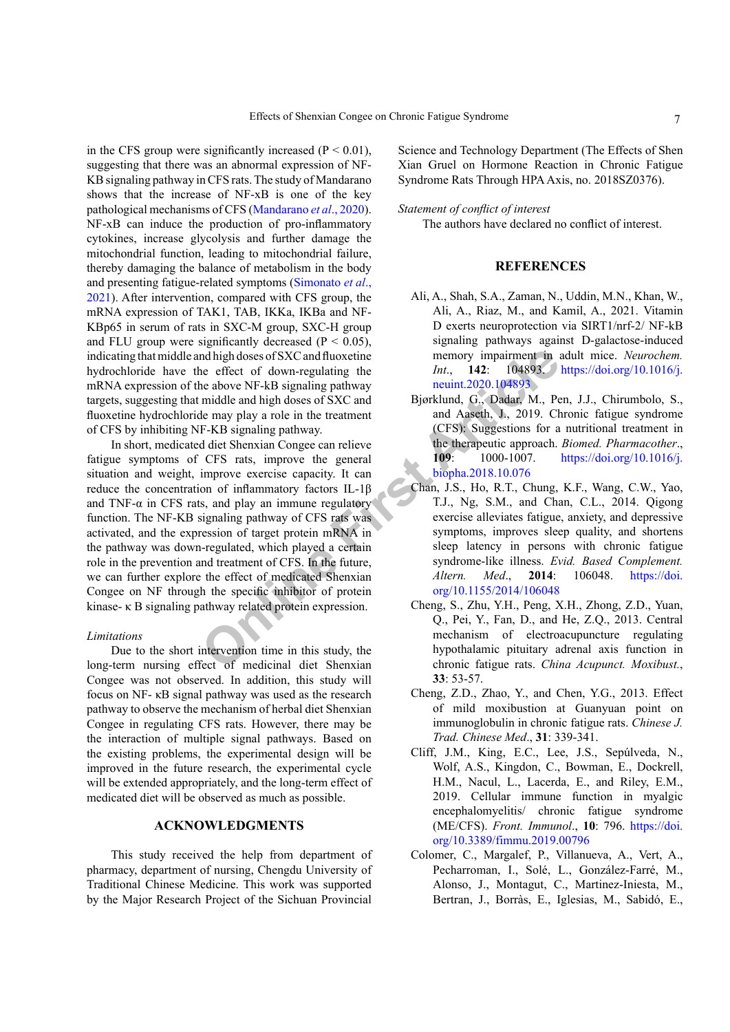in the CFS group were significantly increased  $(P < 0.01)$ , suggesting that there was an abnormal expression of NF-KB signaling pathway in CFS rats. The study of Mandarano shows that the increase of NF-xB is one of the key pathological mechanisms of CFS [\(Mandarano](#page-7-12) *et al*., 2020). NF-xB can induce the production of pro-inflammatory cytokines, increase glycolysis and further damage the mitochondrial function, leading to mitochondrial failure, thereby damaging the balance of metabolism in the body and presenting fatigue-related symptoms (Simonato *et al*., 2021). After intervention, compared with CFS group, the mRNA expression of TAK1, TAB, IKKa, IKBa and NF-KBp65 in serum of rats in SXC-M group, SXC-H group and FLU group were significantly decreased ( $P < 0.05$ ), indicating that middle and high doses of SXC and fluoxetine hydrochloride have the effect of down-regulating the mRNA expression of the above NF-kB signaling pathway targets, suggesting that middle and high doses of SXC and fluoxetine hydrochloride may play a role in the treatment of CFS by inhibiting NF-KB signaling pathway.

The member of the state of the state of the state of the state of the state of the state of the state and high doses of SXC and Huoxetine  $I_{\text{B}}$ . **Doses** are above NF-kB signaling pathway neuint.2020.104893.<br>
High and h In short, medicated diet Shenxian Congee can relieve fatigue symptoms of CFS rats, improve the general situation and weight, improve exercise capacity. It can reduce the concentration of inflammatory factors IL-1β and TNF- $\alpha$  in CFS rats, and play an immune regulatory function. The NF-KB signaling pathway of CFS rats was activated, and the expression of target protein mRNA in the pathway was down-regulated, which played a certain role in the prevention and treatment of CFS. In the future, we can further explore the effect of medicated Shenxian Congee on NF through the specific inhibitor of protein kinase- κ B signaling pathway related protein expression.

#### *Limitations*

Due to the short intervention time in this study, the long-term nursing effect of medicinal diet Shenxian Congee was not observed. In addition, this study will focus on NF- κB signal pathway was used as the research pathway to observe the mechanism of herbal diet Shenxian Congee in regulating CFS rats. However, there may be the interaction of multiple signal pathways. Based on the existing problems, the experimental design will be improved in the future research, the experimental cycle will be extended appropriately, and the long-term effect of medicated diet will be observed as much as possible.

# **ACKNOWLEDGMENTS**

This study received the help from department of pharmacy, department of nursing, Chengdu University of Traditional Chinese Medicine. This work was supported by the Major Research Project of the Sichuan Provincial

Science and Technology Department (The Effects of Shen Xian Gruel on Hormone Reaction in Chronic Fatigue Syndrome Rats Through HPA Axis, no. 2018SZ0376).

#### *Statement of conflict of interest*

The authors have declared no conflict of interest.

# **REFERENCES**

- Ali, A., Shah, S.A., Zaman, N., Uddin, M.N., Khan, W., Ali, A., Riaz, M., and Kamil, A., 2021. Vitamin D exerts neuroprotection via SIRT1/nrf-2/ NF-kB signaling pathways against D-galactose-induced memory impairment in adult mice. *Neurochem. Int*., **142**: 104893. [https://doi.org/10.1016/j.](https://doi.org/10.1016/j.neuint.2020.104893) neuint.2020.104893
- Bjørklund, G., Dadar, M., Pen, J.J., Chirumbolo, S., and Aaseth, J., 2019. Chronic fatigue syndrome (CFS): Suggestions for a nutritional treatment in the therapeutic approach. *Biomed. Pharmacother*., **109**: 1000-1007. [https://doi.org/10.1016/j.](https://doi.org/10.1016/j.biopha.2018.10.076) biopha.2018.10.076
- <span id="page-6-0"></span>Chan, J.S., Ho, R.T., Chung, K.F., Wang, C.W., Yao, T.J., Ng, S.M., and Chan, C.L., 2014. Qigong exercise alleviates fatigue, anxiety, and depressive symptoms, improves sleep quality, and shortens sleep latency in persons with chronic fatigue syndrome-like illness. *Evid. Based Complement. Altern. Med*., **2014**: 106048. [https://doi.](https://doi.org/10.1155/2014/106048) org/10.1155/2014/106048
- <span id="page-6-1"></span>Cheng, S., Zhu, Y.H., Peng, X.H., Zhong, Z.D., Yuan, Q., Pei, Y., Fan, D., and He, Z.Q., 2013. Central mechanism of electroacupuncture regulating hypothalamic pituitary adrenal axis function in chronic fatigue rats. *China Acupunct. Moxibust.*, **33**: 53-57.
- Cheng, Z.D., Zhao, Y., and Chen, Y.G., 2013. Effect of mild moxibustion at Guanyuan point on immunoglobulin in chronic fatigue rats. *Chinese J. Trad. Chinese Med*., **31**: 339-341.
- Cliff, J.M., King, E.C., Lee, J.S., Sepúlveda, N., Wolf, A.S., Kingdon, C., Bowman, E., Dockrell, H.M., Nacul, L., Lacerda, E., and Riley, E.M., 2019. Cellular immune function in myalgic encephalomyelitis/ chronic fatigue syndrome (ME/CFS). *Front. Immunol*., **10**: 796. [https://doi.](https://doi.org/10.3389/fimmu.2019.00796) [org/10.3389/fimmu.2019.00796](https://doi.org/10.3389/fimmu.2019.00796)
- Colomer, C., Margalef, P., Villanueva, A., Vert, A., Pecharroman, I., Solé, L., González-Farré, M., Alonso, J., Montagut, C., Martinez-Iniesta, M., Bertran, J., Borràs, E., Iglesias, M., Sabidó, E.,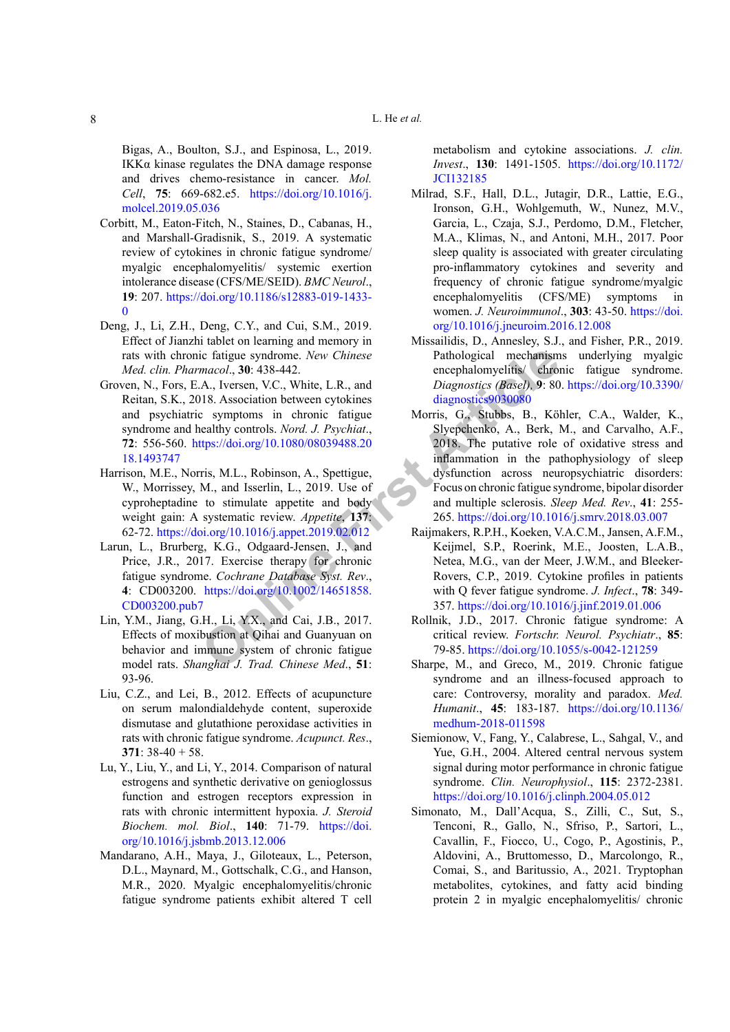Bigas, A., Boulton, S.J., and Espinosa, L., 2019. IKKα kinase regulates the DNA damage response and drives chemo-resistance in cancer. *Mol. Cell*, **75**: 669-682.e5. [https://doi.org/10.1016/j.](https://doi.org/10.1016/j.molcel.2019.05.036) [molcel.2019.05.036](https://doi.org/10.1016/j.molcel.2019.05.036)

- <span id="page-7-10"></span>Corbitt, M., Eaton-Fitch, N., Staines, D., Cabanas, H., and Marshall-Gradisnik, S., 2019. A systematic review of cytokines in chronic fatigue syndrome/ myalgic encephalomyelitis/ systemic exertion intolerance disease (CFS/ME/SEID). *BMC Neurol*., **19**: 207. [https://doi.org/10.1186/s12883-019-1433-](https://doi.org/10.1186/s12883-019-1433-0)  $\theta$
- <span id="page-7-8"></span>Deng, J., Li, Z.H., Deng, C.Y., and Cui, S.M., 2019. Effect of Jianzhi tablet on learning and memory in rats with chronic fatigue syndrome. *New Chinese Med. clin. Pharmacol*., **30**: 438-442.
- <span id="page-7-5"></span>Groven, N., Fors, E.A., Iversen, V.C., White, L.R., and Reitan, S.K., 2018. Association between cytokines and psychiatric symptoms in chronic fatigue syndrome and healthy controls. *Nord. J. Psychiat*., **72**: 556-560. https://doi.org/10.1080/08039488.20 [18.1493747](https://doi.org/10.1080/08039488.2018.1493747)
- <span id="page-7-9"></span>Harrison, M.E., Norris, M.L., Robinson, A., Spettigue, W., Morrissey, M., and Isserlin, L., 2019. Use of cyproheptadine to stimulate appetite and body weight gain: A systematic review. *Appetite*, **137**: 62-72. https://doi.org/10.1016/j.appet.2019.02.012
- <span id="page-7-2"></span>Larun, L., Brurberg, K.G., Odgaard-Jensen, J., and Price, J.R., 2017. Exercise therapy for chronic fatigue syndrome. *Cochrane Database Syst. Rev*., **4**: CD003200. https://doi.org/10.1002/14651858. [CD003200.pub7](https://doi.org/10.1002/14651858.CD003200.pub7)
- <span id="page-7-6"></span>Lin, Y.M., Jiang, G.H., Li, Y.X., and Cai, J.B., 2017. Effects of moxibustion at Qihai and Guanyuan on behavior and immune system of chronic fatigue model rats. *Shanghai J. Trad. Chinese Med*., **51**: 93-96.
- <span id="page-7-7"></span>Liu, C.Z., and Lei, B., 2012. Effects of acupuncture on serum malondialdehyde content, superoxide dismutase and glutathione peroxidase activities in rats with chronic fatigue syndrome. *Acupunct. Res*., **371**: 38-40 + 58.
- Lu, Y., Liu, Y., and Li, Y., 2014. Comparison of natural estrogens and synthetic derivative on genioglossus function and estrogen receptors expression in rats with chronic intermittent hypoxia. *J. Steroid Biochem. mol. Biol*., **140**: 71-79. [https://doi.](https://doi.org/10.1016/j.jsbmb.2013.12.006) [org/10.1016/j.jsbmb.2013.12.006](https://doi.org/10.1016/j.jsbmb.2013.12.006)
- <span id="page-7-12"></span>Mandarano, A.H., Maya, J., Giloteaux, L., Peterson, D.L., Maynard, M., Gottschalk, C.G., and Hanson, M.R., 2020. Myalgic encephalomyelitis/chronic fatigue syndrome patients exhibit altered T cell

metabolism and cytokine associations. *J. clin. Invest*., **130**: 1491-1505. [https://doi.org/10.1172/](https://doi.org/10.1172/JCI132185) [JCI132185](https://doi.org/10.1172/JCI132185)

- <span id="page-7-3"></span>Milrad, S.F., Hall, D.L., Jutagir, D.R., Lattie, E.G., Ironson, G.H., Wohlgemuth, W., Nunez, M.V., Garcia, L., Czaja, S.J., Perdomo, D.M., Fletcher, M.A., Klimas, N., and Antoni, M.H., 2017. Poor sleep quality is associated with greater circulating pro-inflammatory cytokines and severity and frequency of chronic fatigue syndrome/myalgic encephalomyelitis (CFS/ME) symptoms in women. *J. Neuroimmunol*., **303**: 43-50. [https://doi.](https://doi.org/10.1016/j.jneuroim.2016.12.008) [org/10.1016/j.jneuroim.2016.12.008](https://doi.org/10.1016/j.jneuroim.2016.12.008)
- <span id="page-7-11"></span><span id="page-7-4"></span><span id="page-7-1"></span><span id="page-7-0"></span>Missailidis, D., Annesley, S.J., and Fisher, P.R., 2019. Pathological mechanisms underlying myalgic encephalomyelitis/ chronic fatigue syndrome. *Diagnostics (Basel),* **9**: 80. [https://doi.org/10.3390/](https://doi.org/10.3390/diagnostics9030080) diagnostics9030080
- ic fatigue syndrome. New Chinese<br>
macol., 30: 438-442.<br>
A., Iversen, V.C., White, L.R., and<br>
Diagnostics (*Basel)*, 9: 80<br>
2018. Association between cytokines<br>
c symptoms in chronic fatigue<br>
Morris, G., Stubbs, B., Köl<br>
ea Morris, G., Stubbs, B., Köhler, C.A., Walder, K., Slyepchenko, A., Berk, M., and Carvalho, A.F., 2018. The putative role of oxidative stress and inflammation in the pathophysiology of sleep dysfunction across neuropsychiatric disorders: Focus on chronic fatigue syndrome, bipolar disorder and multiple sclerosis. *Sleep Med. Rev*., **41**: 255- 265.<https://doi.org/10.1016/j.smrv.2018.03.007>
	- Raijmakers, R.P.H., Koeken, V.A.C.M., Jansen, A.F.M., Keijmel, S.P., Roerink, M.E., Joosten, L.A.B., Netea, M.G., van der Meer, J.W.M., and Bleeker-Rovers, C.P., 2019. Cytokine profiles in patients with Q fever fatigue syndrome. *J. Infect*., **78**: 349- 357.<https://doi.org/10.1016/j.jinf.2019.01.006>
	- Rollnik, J.D., 2017. Chronic fatigue syndrome: A critical review. *Fortschr. Neurol. Psychiatr*., **85**: 79-85. <https://doi.org/10.1055/s-0042-121259>
	- Sharpe, M., and Greco, M., 2019. Chronic fatigue syndrome and an illness-focused approach to care: Controversy, morality and paradox. *Med. Humanit*., **45**: 183-187. [https://doi.org/10.1136/](https://doi.org/10.1136/medhum-2018-011598) [medhum-2018-011598](https://doi.org/10.1136/medhum-2018-011598)
	- Siemionow, V., Fang, Y., Calabrese, L., Sahgal, V., and Yue, G.H., 2004. Altered central nervous system signal during motor performance in chronic fatigue syndrome. *Clin. Neurophysiol*., **115**: 2372-2381. <https://doi.org/10.1016/j.clinph.2004.05.012>
	- Simonato, M., Dall'Acqua, S., Zilli, C., Sut, S., Tenconi, R., Gallo, N., Sfriso, P., Sartori, L., Cavallin, F., Fiocco, U., Cogo, P., Agostinis, P., Aldovini, A., Bruttomesso, D., Marcolongo, R., Comai, S., and Baritussio, A., 2021. Tryptophan metabolites, cytokines, and fatty acid binding protein 2 in myalgic encephalomyelitis/ chronic